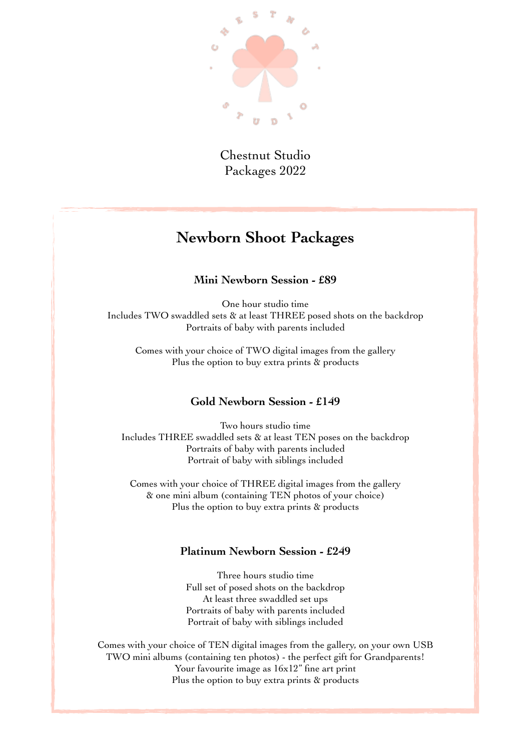

Chestnut Studio Packages 2022

## **Newborn Shoot Packages**

#### **Mini Newborn Session - £89**

One hour studio time Includes TWO swaddled sets & at least THREE posed shots on the backdrop Portraits of baby with parents included

Comes with your choice of TWO digital images from the gallery Plus the option to buy extra prints & products

#### **Gold Newborn Session - £149**

Two hours studio time Includes THREE swaddled sets & at least TEN poses on the backdrop Portraits of baby with parents included Portrait of baby with siblings included

Comes with your choice of THREE digital images from the gallery & one mini album (containing TEN photos of your choice) Plus the option to buy extra prints & products

#### **Platinum Newborn Session - £249**

Three hours studio time Full set of posed shots on the backdrop At least three swaddled set ups Portraits of baby with parents included Portrait of baby with siblings included

Comes with your choice of TEN digital images from the gallery, on your own USB TWO mini albums (containing ten photos) - the perfect gift for Grandparents! Your favourite image as  $16x12$ " fine art print Plus the option to buy extra prints & products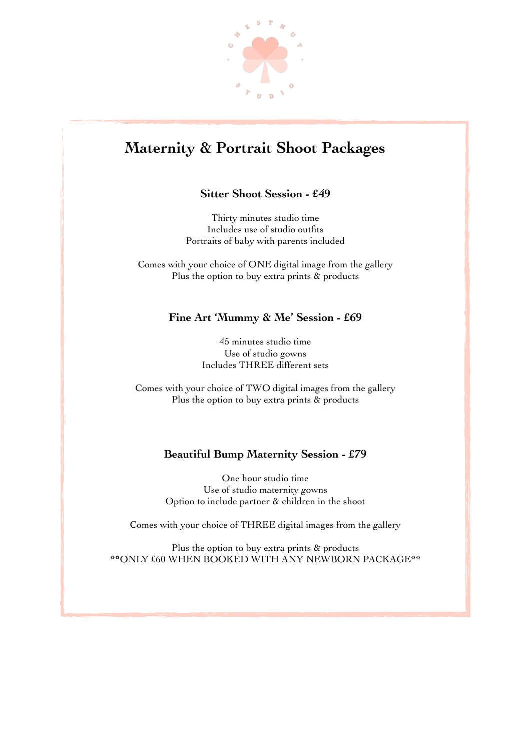

# **Maternity & Portrait Shoot Packages**

#### **Sitter Shoot Session - £49**

Thirty minutes studio time Includes use of studio outfits Portraits of baby with parents included

Comes with your choice of ONE digital image from the gallery Plus the option to buy extra prints & products

#### **Fine Art 'Mummy & Me' Session - £69**

45 minutes studio time Use of studio gowns Includes THREE different sets

Comes with your choice of TWO digital images from the gallery Plus the option to buy extra prints & products

#### **Beautiful Bump Maternity Session - £79**

One hour studio time Use of studio maternity gowns Option to include partner & children in the shoot

Comes with your choice of THREE digital images from the gallery

Plus the option to buy extra prints & products \*\*ONLY £60 WHEN BOOKED WITH ANY NEWBORN PACKAGE\*\*